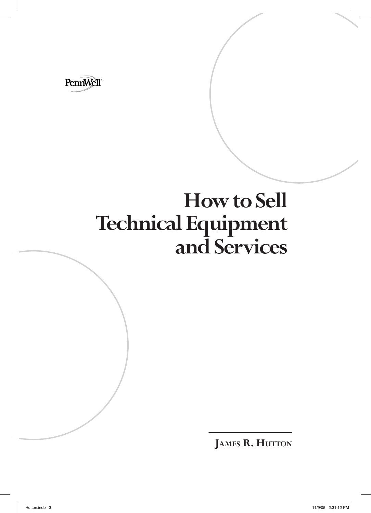

## **How to Sell Technical Equipment and Services**

**JAMES R. HUTTON**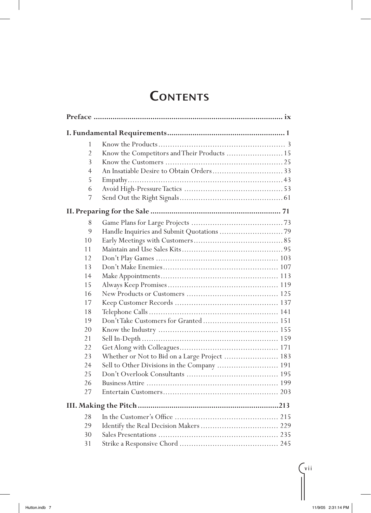### **CONTENTS**

| 1              |                                               |  |
|----------------|-----------------------------------------------|--|
| $\overline{2}$ | Know the Competitors and Their Products  15   |  |
| 3              |                                               |  |
| $\overline{4}$ |                                               |  |
| 5              |                                               |  |
| 6              |                                               |  |
| 7              |                                               |  |
|                |                                               |  |
| 8              |                                               |  |
| 9              |                                               |  |
| 10             |                                               |  |
| 11             |                                               |  |
| 12             |                                               |  |
| 13             |                                               |  |
| 14             |                                               |  |
| 15             |                                               |  |
| 16             |                                               |  |
| 17             |                                               |  |
| 18             |                                               |  |
| 19             |                                               |  |
| 20             |                                               |  |
| 21             |                                               |  |
| 22             |                                               |  |
| 23             | Whether or Not to Bid on a Large Project  183 |  |
| 24             | Sell to Other Divisions in the Company  191   |  |
| 25             |                                               |  |
| 26             |                                               |  |
| 27             |                                               |  |
|                |                                               |  |
| 28             |                                               |  |
| 29             |                                               |  |
| 30             |                                               |  |
| 31             |                                               |  |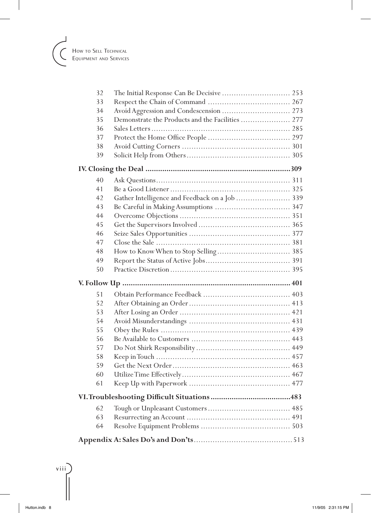| 32 |                                                  |  |
|----|--------------------------------------------------|--|
| 33 |                                                  |  |
| 34 | Avoid Aggression and Condescension  273          |  |
| 35 | Demonstrate the Products and the Facilities  277 |  |
| 36 |                                                  |  |
| 37 |                                                  |  |
| 38 |                                                  |  |
| 39 |                                                  |  |
|    |                                                  |  |
| 40 |                                                  |  |
| 41 |                                                  |  |
| 42 | Gather Intelligence and Feedback on a Job  339   |  |
| 43 |                                                  |  |
| 44 |                                                  |  |
| 45 |                                                  |  |
| 46 |                                                  |  |
| 47 |                                                  |  |
| 48 |                                                  |  |
| 49 |                                                  |  |
| 50 |                                                  |  |
|    |                                                  |  |
| 51 |                                                  |  |
| 52 |                                                  |  |
| 53 |                                                  |  |
| 54 |                                                  |  |
| 55 |                                                  |  |
| 56 |                                                  |  |
| 57 |                                                  |  |
| 58 |                                                  |  |
| 59 |                                                  |  |
| 60 |                                                  |  |
| 61 |                                                  |  |
|    |                                                  |  |
| 62 |                                                  |  |
| 63 |                                                  |  |
| 64 |                                                  |  |
|    |                                                  |  |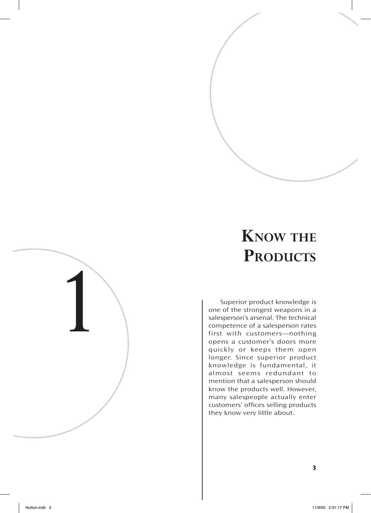

# **KNOW THE PRODUCTS**

Superior product knowledge is one of the strongest weapons in a salesperson's arsenal. The technical competence of a salesperson rates first with customers—nothing opens a customer's doors more quickly or keeps them open longer. Since superior product knowledge is fundamental, it almost seems redundant to mention that a salesperson should know the products well. However, many salespeople actually enter customers' offices selling products they know very little about.

1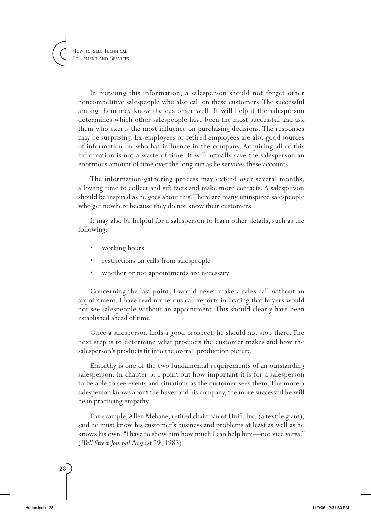In pursuing this information, a salesperson should not forget other noncompetitive salespeople who also call on these customers. The successful among them may know the customer well. It will help if the salesperson determines which other salespeople have been the most successful and ask them who exerts the most influence on purchasing decisions. The responses may be surprising. Ex-employees or retired employees are also good sources of information on who has influence in the company. Acquiring all of this information is not a waste of time. It will actually save the salesperson an enormous amount of time over the long run as he services these accounts.

The information-gathering process may extend over several months, allowing time to collect and sift facts and make more contacts. A salesperson should be inspired as he goes about this. There are many uninspired salespeople who get nowhere because they do not know their customers.

It may also be helpful for a salesperson to learn other details, such as the following:

- working hours
- restrictions on calls from salespeople
- whether or not appointments are necessary

Concerning the last point, I would never make a sales call without an appointment. I have read numerous call reports indicating that buyers would not see salespeople without an appointment. This should clearly have been established ahead of time.

Once a salesperson finds a good prospect, he should not stop there. The next step is to determine what products the customer makes and how the salesperson's products fit into the overall production picture.

Empathy is one of the two fundamental requirements of an outstanding salesperson. In chapter 5, I point out how important it is for a salesperson to be able to see events and situations as the customer sees them. The more a salesperson knows about the buyer and his company, the more successful he will be in practicing empathy.

For example, Allen Mebane, retired chairman of Unifi, Inc. (a textile giant), said he must know his customer's business and problems at least as well as he knows his own. "I have to show him how much I can help him—not vice versa." (*Wall Street Journal* August 29, 1983)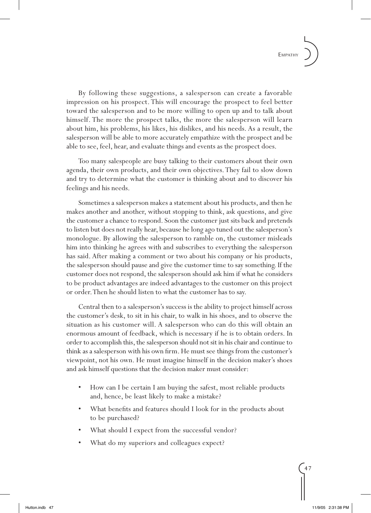By following these suggestions, a salesperson can create a favorable impression on his prospect. This will encourage the prospect to feel better toward the salesperson and to be more willing to open up and to talk about himself. The more the prospect talks, the more the salesperson will learn about him, his problems, his likes, his dislikes, and his needs. As a result, the salesperson will be able to more accurately empathize with the prospect and be able to see, feel, hear, and evaluate things and events as the prospect does.

Too many salespeople are busy talking to their customers about their own agenda, their own products, and their own objectives. They fail to slow down and try to determine what the customer is thinking about and to discover his feelings and his needs.

Sometimes a salesperson makes a statement about his products, and then he makes another and another, without stopping to think, ask questions, and give the customer a chance to respond. Soon the customer just sits back and pretends to listen but does not really hear, because he long ago tuned out the salesperson's monologue. By allowing the salesperson to ramble on, the customer misleads him into thinking he agrees with and subscribes to everything the salesperson has said. After making a comment or two about his company or his products, the salesperson should pause and give the customer time to say something. If the customer does not respond, the salesperson should ask him if what he considers to be product advantages are indeed advantages to the customer on this project or order. Then he should listen to what the customer has to say.

Central then to a salesperson's success is the ability to project himself across the customer's desk, to sit in his chair, to walk in his shoes, and to observe the situation as his customer will. A salesperson who can do this will obtain an enormous amount of feedback, which is necessary if he is to obtain orders. In order to accomplish this, the salesperson should not sit in his chair and continue to think as a salesperson with his own firm. He must see things from the customer's viewpoint, not his own. He must imagine himself in the decision maker's shoes and ask himself questions that the decision maker must consider:

- How can I be certain I am buying the safest, most reliable products and, hence, be least likely to make a mistake?
- What benefits and features should I look for in the products about to be purchased?
- What should I expect from the successful vendor?
- What do my superiors and colleagues expect?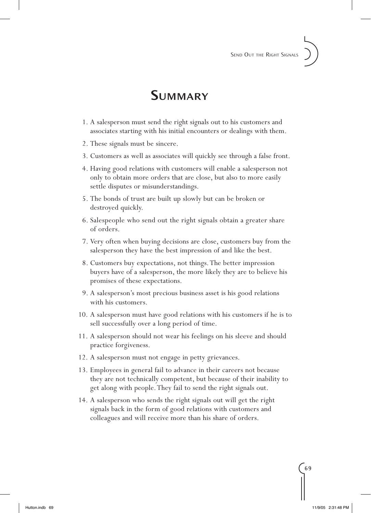#### **SUMMARY**

- 1. A salesperson must send the right signals out to his customers and associates starting with his initial encounters or dealings with them.
- 2. These signals must be sincere.
- 3. Customers as well as associates will quickly see through a false front.
- 4. Having good relations with customers will enable a salesperson not only to obtain more orders that are close, but also to more easily settle disputes or misunderstandings.
- 5. The bonds of trust are built up slowly but can be broken or destroyed quickly.
- 6. Salespeople who send out the right signals obtain a greater share of orders.
- 7. Very often when buying decisions are close, customers buy from the salesperson they have the best impression of and like the best.
- 8. Customers buy expectations, not things. The better impression buyers have of a salesperson, the more likely they are to believe his promises of these expectations.
- 9. A salesperson's most precious business asset is his good relations with his customers.
- 10. A salesperson must have good relations with his customers if he is to sell successfully over a long period of time.
- 11. A salesperson should not wear his feelings on his sleeve and should practice forgiveness.
- 12. A salesperson must not engage in petty grievances.
- 13. Employees in general fail to advance in their careers not because they are not technically competent, but because of their inability to get along with people. They fail to send the right signals out.
- 14. A salesperson who sends the right signals out will get the right signals back in the form of good relations with customers and colleagues and will receive more than his share of orders.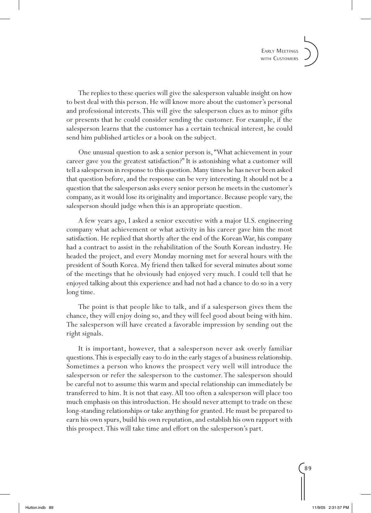The replies to these queries will give the salesperson valuable insight on how to best deal with this person. He will know more about the customer's personal and professional interests. This will give the salesperson clues as to minor gifts or presents that he could consider sending the customer. For example, if the salesperson learns that the customer has a certain technical interest, he could send him published articles or a book on the subject.

One unusual question to ask a senior person is, "What achievement in your career gave you the greatest satisfaction?" It is astonishing what a customer will tell a salesperson in response to this question. Many times he has never been asked that question before, and the response can be very interesting. It should not be a question that the salesperson asks every senior person he meets in the customer's company, as it would lose its originality and importance. Because people vary, the salesperson should judge when this is an appropriate question.

A few years ago, I asked a senior executive with a major U.S. engineering company what achievement or what activity in his career gave him the most satisfaction. He replied that shortly after the end of the Korean War, his company had a contract to assist in the rehabilitation of the South Korean industry. He headed the project, and every Monday morning met for several hours with the president of South Korea. My friend then talked for several minutes about some of the meetings that he obviously had enjoyed very much. I could tell that he enjoyed talking about this experience and had not had a chance to do so in a very long time.

The point is that people like to talk, and if a salesperson gives them the chance, they will enjoy doing so, and they will feel good about being with him. The salesperson will have created a favorable impression by sending out the right signals.

It is important, however, that a salesperson never ask overly familiar questions. This is especially easy to do in the early stages of a business relationship. Sometimes a person who knows the prospect very well will introduce the salesperson or refer the salesperson to the customer. The salesperson should be careful not to assume this warm and special relationship can immediately be transferred to him. It is not that easy. All too often a salesperson will place too much emphasis on this introduction. He should never attempt to trade on these long-standing relationships or take anything for granted. He must be prepared to earn his own spurs, build his own reputation, and establish his own rapport with this prospect. This will take time and effort on the salesperson's part.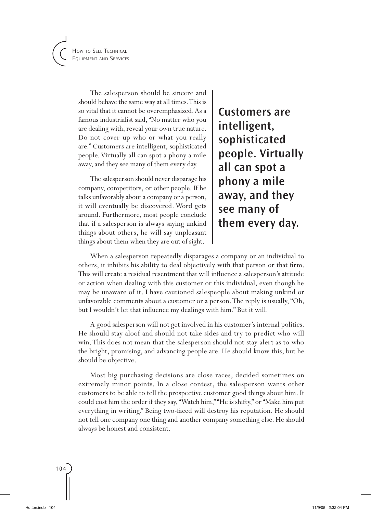HOW TO SELL TECHNICAL EQUIPMENT AND SERVICES

> The salesperson should be sincere and should behave the same way at all times. This is so vital that it cannot be overemphasized. As a famous industrialist said, "No matter who you are dealing with, reveal your own true nature. Do not cover up who or what you really are." Customers are intelligent, sophisticated people. Virtually all can spot a phony a mile away, and they see many of them every day.

> The salesperson should never disparage his company, competitors, or other people. If he talks unfavorably about a company or a person, it will eventually be discovered. Word gets around. Furthermore, most people conclude that if a salesperson is always saying unkind things about others, he will say unpleasant things about them when they are out of sight.

**Customers are intelligent, sophisticated people. Virtually all can spot a phony a mile away, and they see many of them every day.**

When a salesperson repeatedly disparages a company or an individual to others, it inhibits his ability to deal objectively with that person or that firm. This will create a residual resentment that will influence a salesperson's attitude or action when dealing with this customer or this individual, even though he may be unaware of it. I have cautioned salespeople about making unkind or unfavorable comments about a customer or a person. The reply is usually, "Oh, but I wouldn't let that influence my dealings with him." But it will.

A good salesperson will not get involved in his customer's internal politics. He should stay aloof and should not take sides and try to predict who will win. This does not mean that the salesperson should not stay alert as to who the bright, promising, and advancing people are. He should know this, but he should be objective.

Most big purchasing decisions are close races, decided sometimes on extremely minor points. In a close contest, the salesperson wants other customers to be able to tell the prospective customer good things about him. It could cost him the order if they say, "Watch him," "He is shifty," or "Make him put everything in writing." Being two-faced will destroy his reputation. He should not tell one company one thing and another company something else. He should always be honest and consistent.